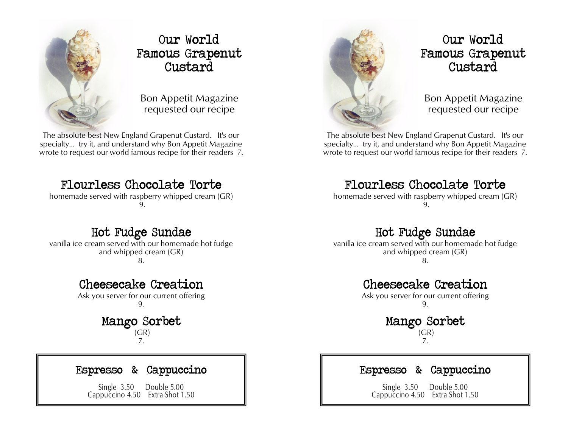

### **Our World Famous Grapenut Custard**

Bon Appetit Magazine requested our recipe

The absolute best New England Grapenut Custard. It's our specialty… try it, and understand why Bon Appetit Magazine wrote to request our world famous recipe for their readers 7.

# **Flourless Chocolate Torte**

homemade served with raspberry whipped cream (GR) 9.

# **Hot Fudge Sundae**

vanilla ice cream served with our homemade hot fudge and whipped cream (GR)

8.

## **Cheesecake Creation**

Ask you server for our current offering 9.

### **Mango Sorbet**   $(GR)$

7.

### **Espresso & Cappuccino**

Single 3.50 Double 5.00 Cappuccino 4.50 Extra Shot 1.50



## **Our World Famous Grapenut Custard**

Bon Appetit Magazine requested our recipe

The absolute best New England Grapenut Custard. It's our specialty… try it, and understand why Bon Appetit Magazine wrote to request our world famous recipe for their readers 7.

## **Flourless Chocolate Torte**

homemade served with raspberry whipped cream (GR) 9.

## **Hot Fudge Sundae**

vanilla ice cream served with our homemade hot fudge and whipped cream (GR) 8.

### **Cheesecake Creation**

Ask you server for our current offering 9.

> **Mango Sorbet**   $(GR)$

### 7.

### **Espresso & Cappuccino**

Single 3.50 Double 5.00 Cappuccino 4.50 Extra Shot 1.50